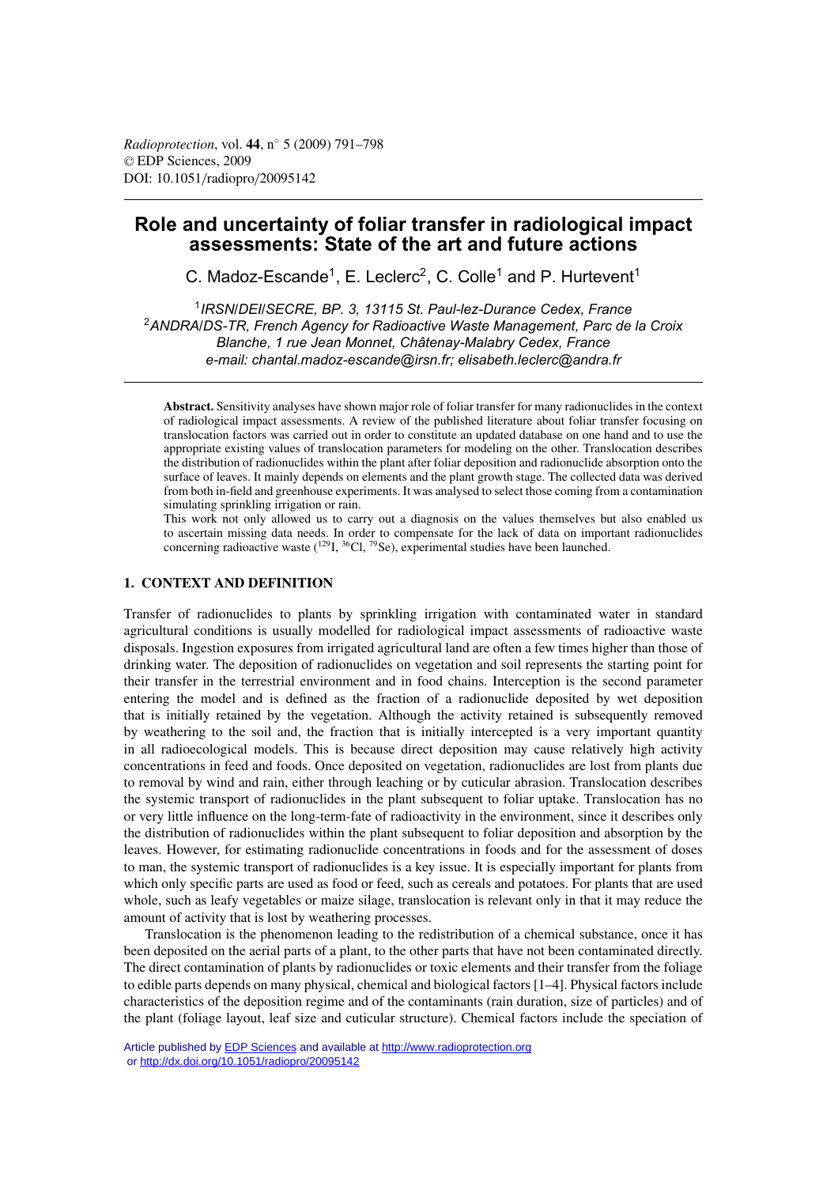# **Role and uncertainty of foliar transfer in radiological impact assessments: State of the art and future actions**

C. Madoz-Escande<sup>1</sup>, E. Leclerc<sup>2</sup>, C. Colle<sup>1</sup> and P. Hurtevent<sup>1</sup>

<sup>1</sup>*IRSN/DEI/SECRE, BP. 3, 13115 St. Paul-lez-Durance Cedex, France* <sup>2</sup>*ANDRA/DS-TR, French Agency for Radioactive Waste Management, Parc de la Croix Blanche, 1 rue Jean Monnet, Châtenay-Malabry Cedex, France e-mail: chantal.madoz-escande@irsn.fr; elisabeth.leclerc@andra.fr*

**Abstract.** Sensitivity analyses have shown major role of foliar transfer for many radionuclides in the context of radiological impact assessments. A review of the published literature about foliar transfer focusing on translocation factors was carried out in order to constitute an updated database on one hand and to use the appropriate existing values of translocation parameters for modeling on the other. Translocation describes the distribution of radionuclides within the plant after foliar deposition and radionuclide absorption onto the surface of leaves. It mainly depends on elements and the plant growth stage. The collected data was derived from both in-field and greenhouse experiments. It was analysed to select those coming from a contamination simulating sprinkling irrigation or rain.

This work not only allowed us to carry out a diagnosis on the values themselves but also enabled us to ascertain missing data needs. In order to compensate for the lack of data on important radionuclides concerning radioactive waste  $(^{129}I, {^{36}Cl}, {^{79}Se})$ , experimental studies have been launched.

# **1. CONTEXT AND DEFINITION**

Transfer of radionuclides to plants by sprinkling irrigation with contaminated water in standard agricultural conditions is usually modelled for radiological impact assessments of radioactive waste disposals. Ingestion exposures from irrigated agricultural land are often a few times higher than those of drinking water. The deposition of radionuclides on vegetation and soil represents the starting point for their transfer in the terrestrial environment and in food chains. Interception is the second parameter entering the model and is defined as the fraction of a radionuclide deposited by wet deposition that is initially retained by the vegetation. Although the activity retained is subsequently removed by weathering to the soil and, the fraction that is initially intercepted is a very important quantity in all radioecological models. This is because direct deposition may cause relatively high activity concentrations in feed and foods. Once deposited on vegetation, radionuclides are lost from plants due to removal by wind and rain, either through leaching or by cuticular abrasion. Translocation describes the systemic transport of radionuclides in the plant subsequent to foliar uptake. Translocation has no or very little influence on the long-term-fate of radioactivity in the environment, since it describes only the distribution of radionuclides within the plant subsequent to foliar deposition and absorption by the leaves. However, for estimating radionuclide concentrations in foods and for the assessment of doses to man, the systemic transport of radionuclides is a key issue. It is especially important for plants from which only specific parts are used as food or feed, such as cereals and potatoes. For plants that are used whole, such as leafy vegetables or maize silage, translocation is relevant only in that it may reduce the amount of activity that is lost by weathering processes.

Translocation is the phenomenon leading to the redistribution of a chemical substance, once it has been deposited on the aerial parts of a plant, to the other parts that have not been contaminated directly. The direct contamination of plants by radionuclides or toxic elements and their transfer from the foliage to edible parts depends on many physical, chemical and biological factors [1–4]. Physical factors include characteristics of the deposition regime and of the contaminants (rain duration, size of particles) and of the plant (foliage layout, leaf size and cuticular structure). Chemical factors include the speciation of

Article published by **EDP Sciences** and available at<http://www.radioprotection.org> or <http://dx.doi.org/10.1051/radiopro/20095142>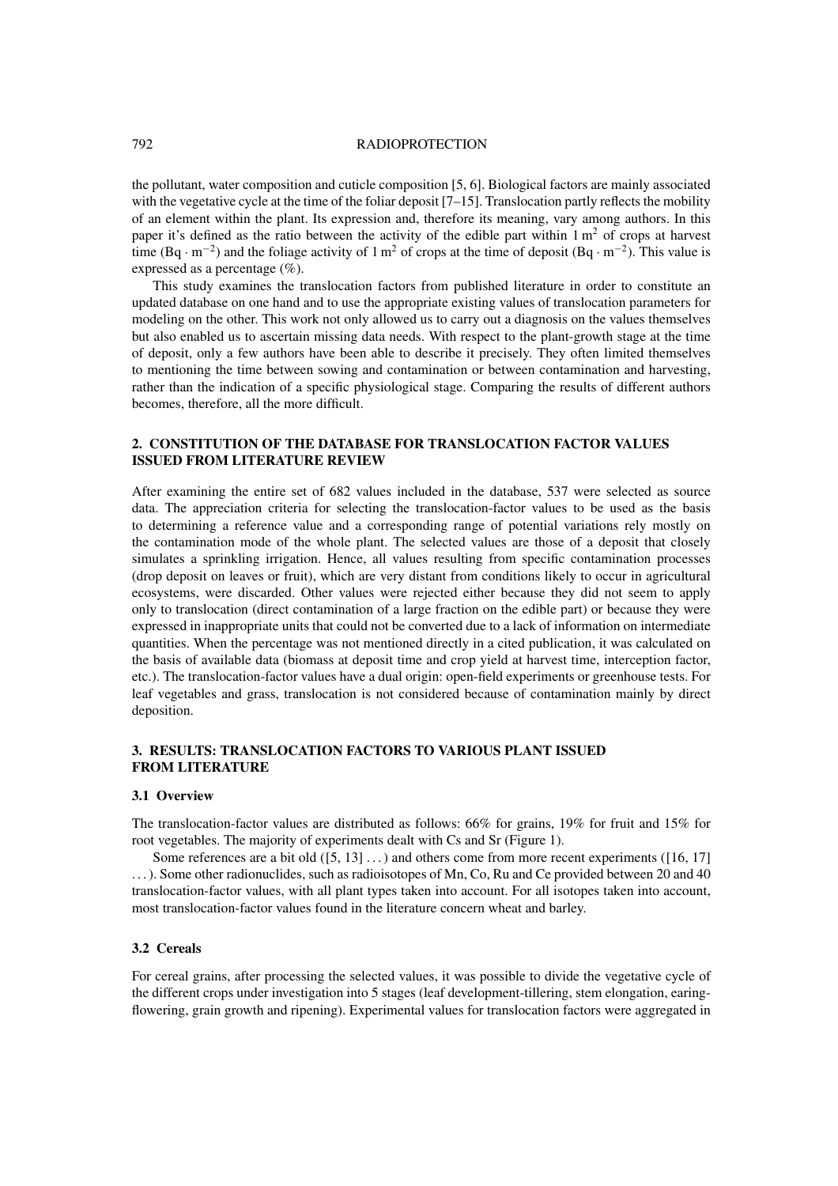the pollutant, water composition and cuticle composition [5, 6]. Biological factors are mainly associated with the vegetative cycle at the time of the foliar deposit [7–15]. Translocation partly reflects the mobility of an element within the plant. Its expression and, therefore its meaning, vary among authors. In this paper it's defined as the ratio between the activity of the edible part within  $1 \text{ m}^2$  of crops at harvest time (Bq · m<sup>-2</sup>) and the foliage activity of 1 m<sup>2</sup> of crops at the time of deposit (Bq · m<sup>-2</sup>). This value is expressed as a percentage (%).

This study examines the translocation factors from published literature in order to constitute an updated database on one hand and to use the appropriate existing values of translocation parameters for modeling on the other. This work not only allowed us to carry out a diagnosis on the values themselves but also enabled us to ascertain missing data needs. With respect to the plant-growth stage at the time of deposit, only a few authors have been able to describe it precisely. They often limited themselves to mentioning the time between sowing and contamination or between contamination and harvesting, rather than the indication of a specific physiological stage. Comparing the results of different authors becomes, therefore, all the more difficult.

# **2. CONSTITUTION OF THE DATABASE FOR TRANSLOCATION FACTOR VALUES ISSUED FROM LITERATURE REVIEW**

After examining the entire set of 682 values included in the database, 537 were selected as source data. The appreciation criteria for selecting the translocation-factor values to be used as the basis to determining a reference value and a corresponding range of potential variations rely mostly on the contamination mode of the whole plant. The selected values are those of a deposit that closely simulates a sprinkling irrigation. Hence, all values resulting from specific contamination processes (drop deposit on leaves or fruit), which are very distant from conditions likely to occur in agricultural ecosystems, were discarded. Other values were rejected either because they did not seem to apply only to translocation (direct contamination of a large fraction on the edible part) or because they were expressed in inappropriate units that could not be converted due to a lack of information on intermediate quantities. When the percentage was not mentioned directly in a cited publication, it was calculated on the basis of available data (biomass at deposit time and crop yield at harvest time, interception factor, etc.). The translocation-factor values have a dual origin: open-field experiments or greenhouse tests. For leaf vegetables and grass, translocation is not considered because of contamination mainly by direct deposition.

# **3. RESULTS: TRANSLOCATION FACTORS TO VARIOUS PLANT ISSUED FROM LITERATURE**

### **3.1 Overview**

The translocation-factor values are distributed as follows: 66% for grains, 19% for fruit and 15% for root vegetables. The majority of experiments dealt with Cs and Sr (Figure 1).

Some references are a bit old  $(5, 13] \dots$ ) and others come from more recent experiments ([16, 17] . . . ). Some other radionuclides, such as radioisotopes of Mn, Co, Ru and Ce provided between 20 and 40 translocation-factor values, with all plant types taken into account. For all isotopes taken into account, most translocation-factor values found in the literature concern wheat and barley.

## **3.2 Cereals**

For cereal grains, after processing the selected values, it was possible to divide the vegetative cycle of the different crops under investigation into 5 stages (leaf development-tillering, stem elongation, earingflowering, grain growth and ripening). Experimental values for translocation factors were aggregated in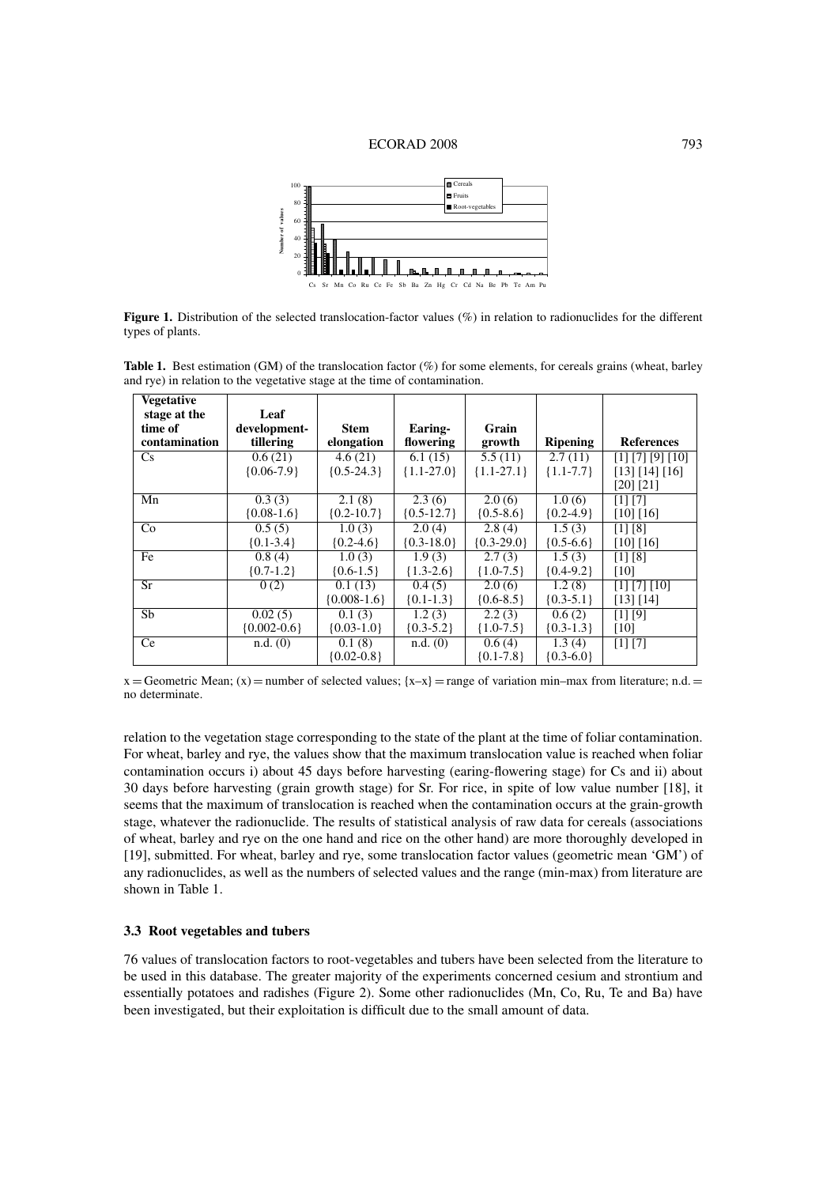#### ECORAD 2008 793



**Figure 1.** Distribution of the selected translocation-factor values (%) in relation to radionuclides for the different types of plants.

**Table 1.** Best estimation (GM) of the translocation factor (%) for some elements, for cereals grains (wheat, barley and rye) in relation to the vegetative stage at the time of contamination.

| Vegetative    |                             |                |              |              |                      |                          |
|---------------|-----------------------------|----------------|--------------|--------------|----------------------|--------------------------|
| stage at the  | Leaf                        |                |              |              |                      |                          |
| time of       | development-                | <b>Stem</b>    | Earing-      | Grain        |                      |                          |
| contamination | tillering                   | elongation     | flowering    | growth       | <b>Ripening</b>      | <b>References</b>        |
| Cs            | 0.6(21)                     | 4.6(21)        | 6.1(15)      | 5.5(11)      | $\overline{2.7(11)}$ | $[1]$ $[7]$ $[9]$ $[10]$ |
|               | ${0.06-7.9}$                | ${0.5-24.3}$   | ${1.1-27.0}$ | ${1.1-27.1}$ | ${1.1-7.7}$          | [13] [14] [16]           |
|               |                             |                |              |              |                      | $[20]$ $[21]$            |
| Mn            | 0.3(3)                      | 2.1(8)         | 2.3(6)       | 2.0(6)       | $\overline{1.0}$ (6) | [1] [7]                  |
|               | ${0.08-1.6}$                | ${0.2-10.7}$   | ${0.5-12.7}$ | ${0.5-8.6}$  | ${0.2-4.9}$          | $[10]$ $[16]$            |
| Co            | 0.5(5)                      | 1.0(3)         | 2.0(4)       | 2.8(4)       | 1.5(3)               | [1] [8]                  |
|               | ${0.1-3.4}$                 | ${0.2-4.6}$    | ${0.3-18.0}$ | ${0.3-29.0}$ | ${0.5-6.6}$          | [10] [16]                |
| Fe            | 0.8(4)                      | 1.0(3)         | 1.9(3)       | 2.7(3)       | 1.5(3)               | [1] [8]                  |
|               | ${0.7-1.2}$                 | ${0.6-1.5}$    | ${1.3-2.6}$  | ${1.0-7.5}$  | ${0.4-9.2}$          | [10]                     |
| Sr            | 0(2)                        | 0.1(13)        | 0.4(5)       | 2.0(6)       | 1.2(8)               | $[1]$ $[7]$ $[10]$       |
|               |                             | ${0.008-1.6}$  | ${0.1-1.3}$  | ${0.6-8.5}$  | ${0.3-5.1}$          | [13] [14]                |
| Sb            | 0.02(5)                     | 0.1(3)         | 1.2(3)       | 2.2(3)       | 0.6(2)               | $[1]$ $[9]$              |
|               | ${0.002 - 0.6}$             | ${0.03-1.0}$   | ${0.3-5.2}$  | ${1.0-7.5}$  | ${0.3-1.3}$          | [10]                     |
| Ce            | $\overline{\text{n.d.}}(0)$ | 0.1(8)         | n.d. (0)     | 0.6(4)       | $\overline{1.3}$ (4) | [1] [7]                  |
|               |                             | ${0.02 - 0.8}$ |              | ${0.1-7.8}$  | ${0.3-6.0}$          |                          |

 $x =$  Geometric Mean;  $(x) =$  number of selected values;  $\{x - x\} =$  range of variation min–max from literature; n.d. = no determinate.

relation to the vegetation stage corresponding to the state of the plant at the time of foliar contamination. For wheat, barley and rye, the values show that the maximum translocation value is reached when foliar contamination occurs i) about 45 days before harvesting (earing-flowering stage) for Cs and ii) about 30 days before harvesting (grain growth stage) for Sr. For rice, in spite of low value number [18], it seems that the maximum of translocation is reached when the contamination occurs at the grain-growth stage, whatever the radionuclide. The results of statistical analysis of raw data for cereals (associations of wheat, barley and rye on the one hand and rice on the other hand) are more thoroughly developed in [19], submitted. For wheat, barley and rye, some translocation factor values (geometric mean 'GM') of any radionuclides, as well as the numbers of selected values and the range (min-max) from literature are shown in Table 1.

# **3.3 Root vegetables and tubers**

76 values of translocation factors to root-vegetables and tubers have been selected from the literature to be used in this database. The greater majority of the experiments concerned cesium and strontium and essentially potatoes and radishes (Figure 2). Some other radionuclides (Mn, Co, Ru, Te and Ba) have been investigated, but their exploitation is difficult due to the small amount of data.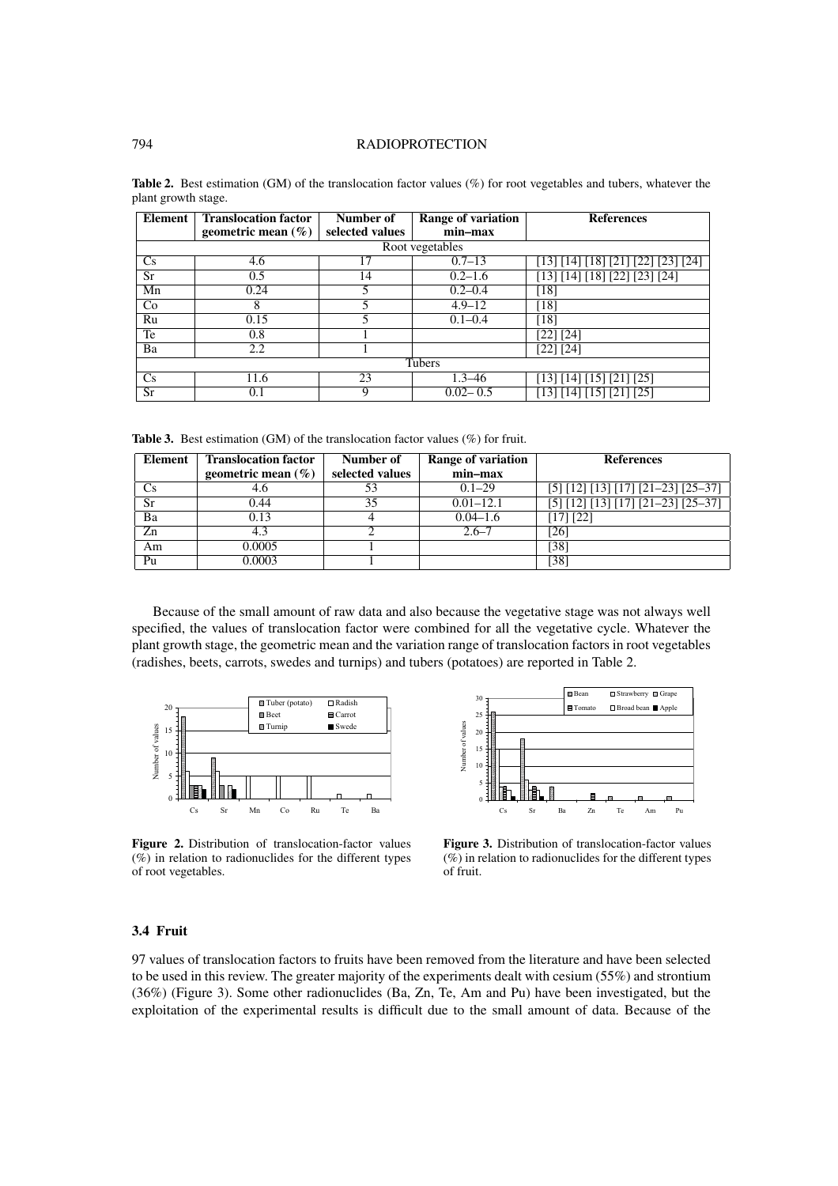| Element         | <b>Translocation factor</b><br>geometric mean $(\% )$ | Number of<br>selected values | Range of variation<br>min-max | <b>References</b>                                                                                 |  |  |  |
|-----------------|-------------------------------------------------------|------------------------------|-------------------------------|---------------------------------------------------------------------------------------------------|--|--|--|
| Root vegetables |                                                       |                              |                               |                                                                                                   |  |  |  |
| Cs              | 4.6                                                   | 17                           | $0.7 - 13$                    | [13] [14] [18] [21] [22] [23] [24]                                                                |  |  |  |
| <b>Sr</b>       | 0.5                                                   | 14                           | $0.2 - 1.6$                   | $\left[13\right] \left[14\right] \left[18\right] \left[22\right] \left[23\right] \left[24\right]$ |  |  |  |
| Mn              | 0.24                                                  |                              | $0.2 - 0.4$                   | [18]                                                                                              |  |  |  |
| Co              | 8                                                     | 5                            | $4.9 - 12$                    | [18]                                                                                              |  |  |  |
| Ru              | 0.15                                                  |                              | $0.1 - 0.4$                   | [18]                                                                                              |  |  |  |
| Te              | 0.8                                                   |                              |                               | [22] [24]                                                                                         |  |  |  |
| Ba              | 2.2                                                   |                              |                               | [22] [24]                                                                                         |  |  |  |
| Tubers          |                                                       |                              |                               |                                                                                                   |  |  |  |
| Cs              | 11.6                                                  | 23                           | $1.3 - 46$                    | [13] [14] [15] [21] [25]                                                                          |  |  |  |
| Sr              | 0.1                                                   | 9                            | $0.02 - 0.5$                  | $[13] [14] [1\overline{5}] [21] [25]$                                                             |  |  |  |

**Table 2.** Best estimation (GM) of the translocation factor values (%) for root vegetables and tubers, whatever the plant growth stage.

**Table 3.** Best estimation (GM) of the translocation factor values (%) for fruit.

| Element   | <b>Translocation factor</b> | Number of       | Range of variation | <b>References</b>                    |  |
|-----------|-----------------------------|-----------------|--------------------|--------------------------------------|--|
|           | geometric mean $(\% )$      | selected values | $min-max$          |                                      |  |
| Cs        | 4.6                         | 53              | $0.1 - 29$         | $[5] [12] [13] [17] [21-23] [25-37]$ |  |
| <b>Sr</b> | 0.44                        | 35              | $0.01 - 12.1$      | $[5] [12] [13] [17] [21-23] [25-37]$ |  |
| Ba        | 0.13                        |                 | $0.04 - 1.6$       | [17] [22]                            |  |
| Zn        | 4.3                         |                 | $2.6 - 7$          | [26]                                 |  |
| Am        | 0.0005                      |                 |                    | [38]                                 |  |
| Pu        | 0.0003                      |                 |                    | [38]                                 |  |

Because of the small amount of raw data and also because the vegetative stage was not always well specified, the values of translocation factor were combined for all the vegetative cycle. Whatever the plant growth stage, the geometric mean and the variation range of translocation factors in root vegetables (radishes, beets, carrots, swedes and turnips) and tubers (potatoes) are reported in Table 2.





**Figure 2.** Distribution of translocation-factor values  $(\% )$  in relation to radionuclides for the different types of root vegetables.

**Figure 3.** Distribution of translocation-factor values  $(\%)$  in relation to radionuclides for the different types of fruit.

## **3.4 Fruit**

97 values of translocation factors to fruits have been removed from the literature and have been selected to be used in this review. The greater majority of the experiments dealt with cesium (55%) and strontium (36%) (Figure 3). Some other radionuclides (Ba, Zn, Te, Am and Pu) have been investigated, but the exploitation of the experimental results is difficult due to the small amount of data. Because of the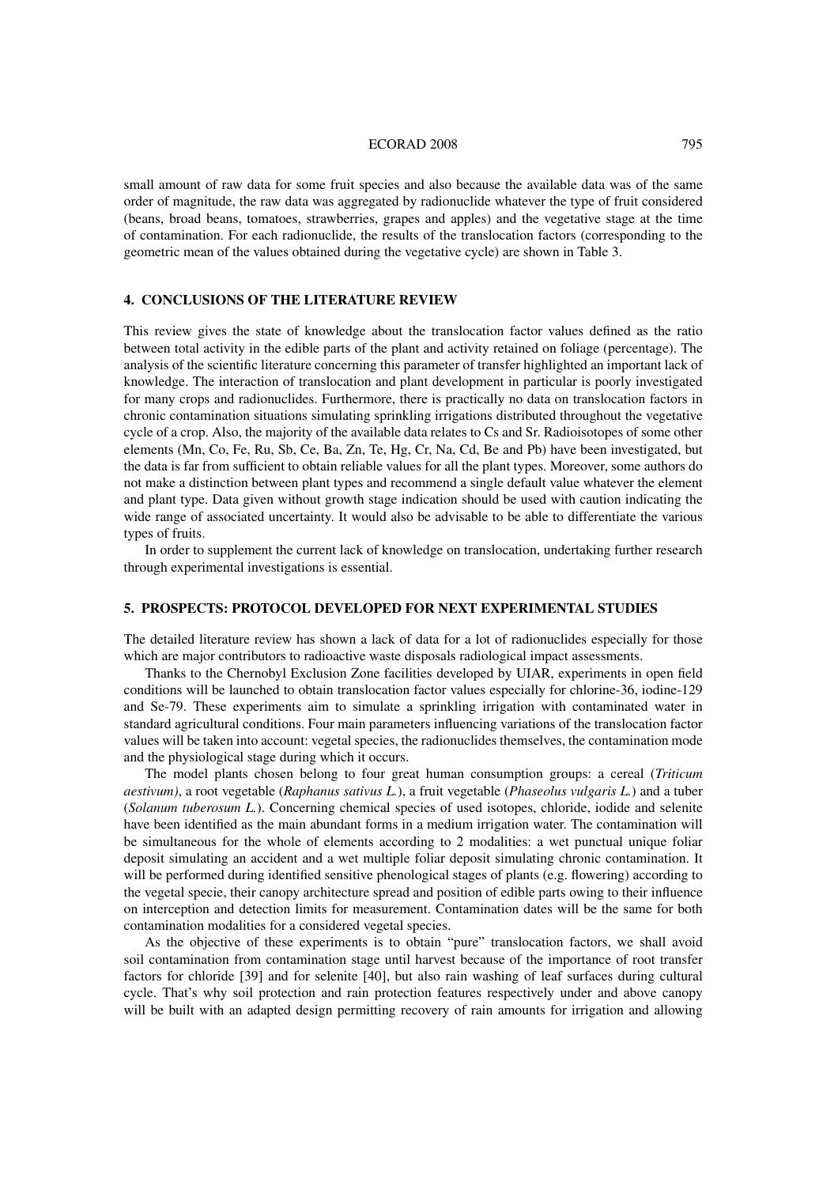#### ECORAD 2008 795

small amount of raw data for some fruit species and also because the available data was of the same order of magnitude, the raw data was aggregated by radionuclide whatever the type of fruit considered (beans, broad beans, tomatoes, strawberries, grapes and apples) and the vegetative stage at the time of contamination. For each radionuclide, the results of the translocation factors (corresponding to the geometric mean of the values obtained during the vegetative cycle) are shown in Table 3.

# **4. CONCLUSIONS OF THE LITERATURE REVIEW**

This review gives the state of knowledge about the translocation factor values defined as the ratio between total activity in the edible parts of the plant and activity retained on foliage (percentage). The analysis of the scientific literature concerning this parameter of transfer highlighted an important lack of knowledge. The interaction of translocation and plant development in particular is poorly investigated for many crops and radionuclides. Furthermore, there is practically no data on translocation factors in chronic contamination situations simulating sprinkling irrigations distributed throughout the vegetative cycle of a crop. Also, the majority of the available data relates to Cs and Sr. Radioisotopes of some other elements (Mn, Co, Fe, Ru, Sb, Ce, Ba, Zn, Te, Hg, Cr, Na, Cd, Be and Pb) have been investigated, but the data is far from sufficient to obtain reliable values for all the plant types. Moreover, some authors do not make a distinction between plant types and recommend a single default value whatever the element and plant type. Data given without growth stage indication should be used with caution indicating the wide range of associated uncertainty. It would also be advisable to be able to differentiate the various types of fruits.

In order to supplement the current lack of knowledge on translocation, undertaking further research through experimental investigations is essential.

#### **5. PROSPECTS: PROTOCOL DEVELOPED FOR NEXT EXPERIMENTAL STUDIES**

The detailed literature review has shown a lack of data for a lot of radionuclides especially for those which are major contributors to radioactive waste disposals radiological impact assessments.

Thanks to the Chernobyl Exclusion Zone facilities developed by UIAR, experiments in open field conditions will be launched to obtain translocation factor values especially for chlorine-36, iodine-129 and Se-79. These experiments aim to simulate a sprinkling irrigation with contaminated water in standard agricultural conditions. Four main parameters influencing variations of the translocation factor values will be taken into account: vegetal species, the radionuclides themselves, the contamination mode and the physiological stage during which it occurs.

The model plants chosen belong to four great human consumption groups: a cereal (*Triticum aestivum)*, a root vegetable (*Raphanus sativus L.*), a fruit vegetable (*Phaseolus vulgaris L.*) and a tuber (*Solanum tuberosum L.*). Concerning chemical species of used isotopes, chloride, iodide and selenite have been identified as the main abundant forms in a medium irrigation water. The contamination will be simultaneous for the whole of elements according to 2 modalities: a wet punctual unique foliar deposit simulating an accident and a wet multiple foliar deposit simulating chronic contamination. It will be performed during identified sensitive phenological stages of plants (e.g. flowering) according to the vegetal specie, their canopy architecture spread and position of edible parts owing to their influence on interception and detection limits for measurement. Contamination dates will be the same for both contamination modalities for a considered vegetal species.

As the objective of these experiments is to obtain "pure" translocation factors, we shall avoid soil contamination from contamination stage until harvest because of the importance of root transfer factors for chloride [39] and for selenite [40], but also rain washing of leaf surfaces during cultural cycle. That's why soil protection and rain protection features respectively under and above canopy will be built with an adapted design permitting recovery of rain amounts for irrigation and allowing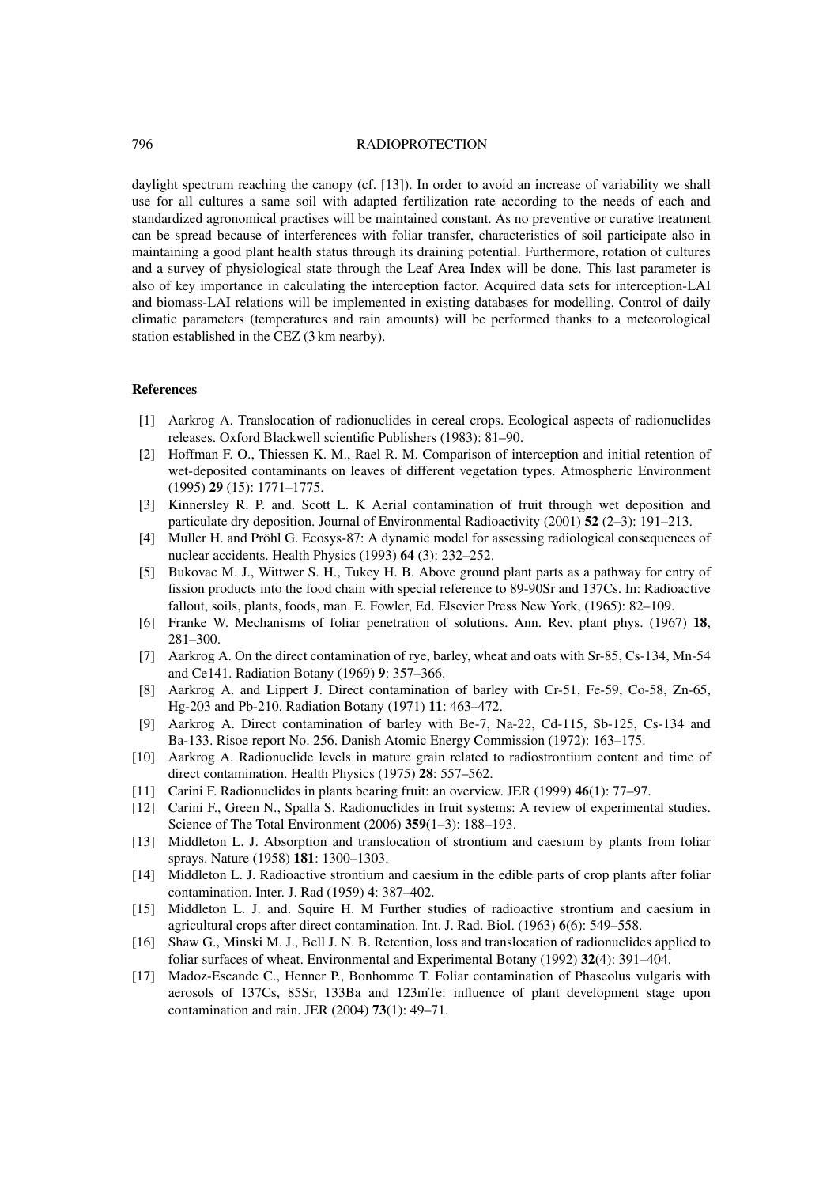daylight spectrum reaching the canopy (cf. [13]). In order to avoid an increase of variability we shall use for all cultures a same soil with adapted fertilization rate according to the needs of each and standardized agronomical practises will be maintained constant. As no preventive or curative treatment can be spread because of interferences with foliar transfer, characteristics of soil participate also in maintaining a good plant health status through its draining potential. Furthermore, rotation of cultures and a survey of physiological state through the Leaf Area Index will be done. This last parameter is also of key importance in calculating the interception factor. Acquired data sets for interception-LAI and biomass-LAI relations will be implemented in existing databases for modelling. Control of daily climatic parameters (temperatures and rain amounts) will be performed thanks to a meteorological station established in the CEZ (3 km nearby).

#### **References**

- [1] Aarkrog A. Translocation of radionuclides in cereal crops. Ecological aspects of radionuclides releases. Oxford Blackwell scientific Publishers (1983): 81–90.
- [2] Hoffman F. O., Thiessen K. M., Rael R. M. Comparison of interception and initial retention of wet-deposited contaminants on leaves of different vegetation types. Atmospheric Environment (1995) **29** (15): 1771–1775.
- [3] Kinnersley R. P. and. Scott L. K Aerial contamination of fruit through wet deposition and particulate dry deposition. Journal of Environmental Radioactivity (2001) **52** (2–3): 191–213.
- [4] Muller H. and Pröhl G. Ecosys-87: A dynamic model for assessing radiological consequences of nuclear accidents. Health Physics (1993) **64** (3): 232–252.
- [5] Bukovac M. J., Wittwer S. H., Tukey H. B. Above ground plant parts as a pathway for entry of fission products into the food chain with special reference to 89-90Sr and 137Cs. In: Radioactive fallout, soils, plants, foods, man. E. Fowler, Ed. Elsevier Press New York, (1965): 82–109.
- [6] Franke W. Mechanisms of foliar penetration of solutions. Ann. Rev. plant phys. (1967) **18**, 281–300.
- [7] Aarkrog A. On the direct contamination of rye, barley, wheat and oats with Sr-85, Cs-134, Mn-54 and Ce141. Radiation Botany (1969) **9**: 357–366.
- [8] Aarkrog A. and Lippert J. Direct contamination of barley with Cr-51, Fe-59, Co-58, Zn-65, Hg-203 and Pb-210. Radiation Botany (1971) **11**: 463–472.
- [9] Aarkrog A. Direct contamination of barley with Be-7, Na-22, Cd-115, Sb-125, Cs-134 and Ba-133. Risoe report No. 256. Danish Atomic Energy Commission (1972): 163–175.
- [10] Aarkrog A. Radionuclide levels in mature grain related to radiostrontium content and time of direct contamination. Health Physics (1975) **28**: 557–562.
- [11] Carini F. Radionuclides in plants bearing fruit: an overview. JER (1999) **46**(1): 77–97.
- [12] Carini F., Green N., Spalla S. Radionuclides in fruit systems: A review of experimental studies. Science of The Total Environment (2006) **359**(1–3): 188–193.
- [13] Middleton L. J. Absorption and translocation of strontium and caesium by plants from foliar sprays. Nature (1958) **181**: 1300–1303.
- [14] Middleton L. J. Radioactive strontium and caesium in the edible parts of crop plants after foliar contamination. Inter. J. Rad (1959) **4**: 387–402.
- [15] Middleton L. J. and. Squire H. M Further studies of radioactive strontium and caesium in agricultural crops after direct contamination. Int. J. Rad. Biol. (1963) **6**(6): 549–558.
- [16] Shaw G., Minski M. J., Bell J. N. B. Retention, loss and translocation of radionuclides applied to foliar surfaces of wheat. Environmental and Experimental Botany (1992) **32**(4): 391–404.
- [17] Madoz-Escande C., Henner P., Bonhomme T. Foliar contamination of Phaseolus vulgaris with aerosols of 137Cs, 85Sr, 133Ba and 123mTe: influence of plant development stage upon contamination and rain. JER (2004) **73**(1): 49–71.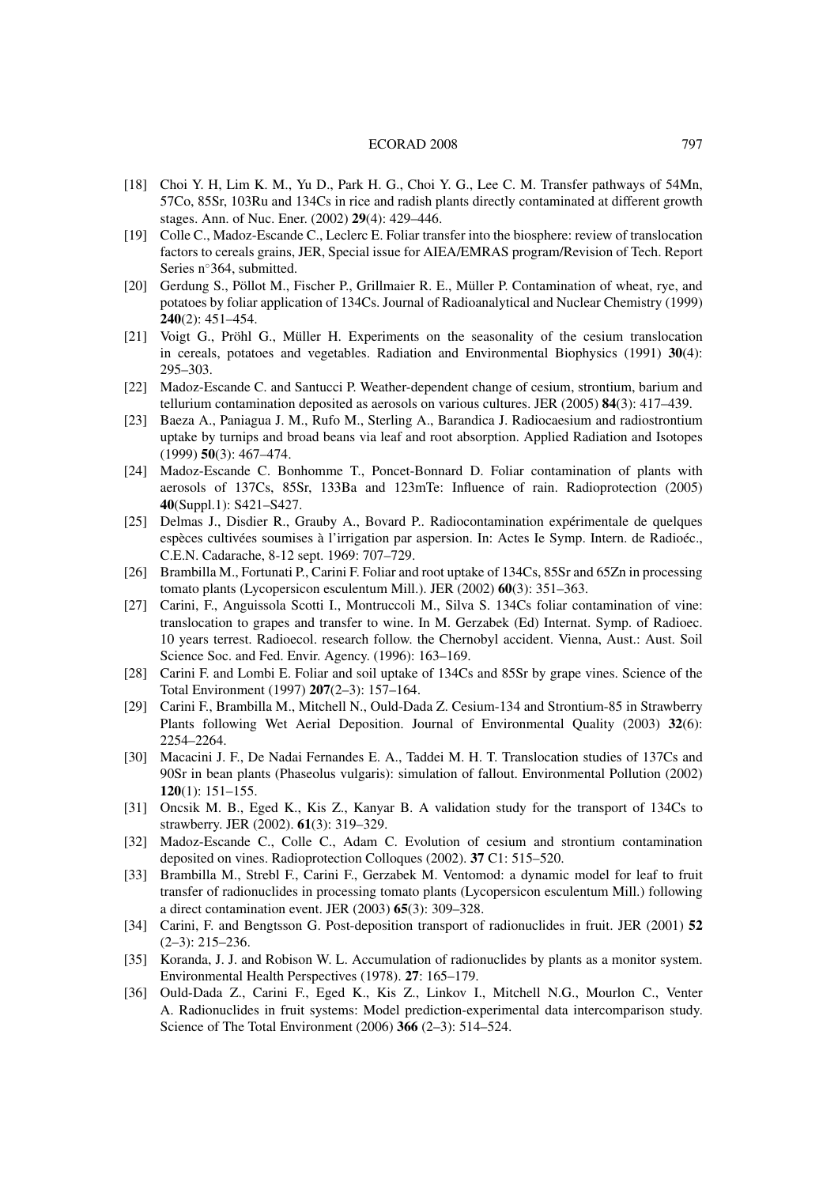#### ECORAD 2008 797

- [18] Choi Y. H, Lim K. M., Yu D., Park H. G., Choi Y. G., Lee C. M. Transfer pathways of 54Mn, 57Co, 85Sr, 103Ru and 134Cs in rice and radish plants directly contaminated at different growth stages. Ann. of Nuc. Ener. (2002) **29**(4): 429–446.
- [19] Colle C., Madoz-Escande C., Leclerc E. Foliar transfer into the biosphere: review of translocation factors to cereals grains, JER, Special issue for AIEA/EMRAS program/Revision of Tech. Report Series n◦364, submitted.
- [20] Gerdung S., Pöllot M., Fischer P., Grillmaier R. E., Müller P. Contamination of wheat, rye, and potatoes by foliar application of 134Cs. Journal of Radioanalytical and Nuclear Chemistry (1999) **240**(2): 451–454.
- [21] Voigt G., Pröhl G., Müller H. Experiments on the seasonality of the cesium translocation in cereals, potatoes and vegetables. Radiation and Environmental Biophysics (1991) **30**(4): 295–303.
- [22] Madoz-Escande C. and Santucci P. Weather-dependent change of cesium, strontium, barium and tellurium contamination deposited as aerosols on various cultures. JER (2005) **84**(3): 417–439.
- [23] Baeza A., Paniagua J. M., Rufo M., Sterling A., Barandica J. Radiocaesium and radiostrontium uptake by turnips and broad beans via leaf and root absorption. Applied Radiation and Isotopes (1999) **50**(3): 467–474.
- [24] Madoz-Escande C. Bonhomme T., Poncet-Bonnard D. Foliar contamination of plants with aerosols of 137Cs, 85Sr, 133Ba and 123mTe: Influence of rain. Radioprotection (2005) **40**(Suppl.1): S421–S427.
- [25] Delmas J., Disdier R., Grauby A., Bovard P.. Radiocontamination expérimentale de quelques espèces cultivées soumises à l'irrigation par aspersion. In: Actes Ie Symp. Intern. de Radioéc., C.E.N. Cadarache, 8-12 sept. 1969: 707–729.
- [26] Brambilla M., Fortunati P., Carini F. Foliar and root uptake of 134Cs, 85Sr and 65Zn in processing tomato plants (Lycopersicon esculentum Mill.). JER (2002) **60**(3): 351–363.
- [27] Carini, F., Anguissola Scotti I., Montruccoli M., Silva S. 134Cs foliar contamination of vine: translocation to grapes and transfer to wine. In M. Gerzabek (Ed) Internat. Symp. of Radioec. 10 years terrest. Radioecol. research follow. the Chernobyl accident. Vienna, Aust.: Aust. Soil Science Soc. and Fed. Envir. Agency. (1996): 163–169.
- [28] Carini F. and Lombi E. Foliar and soil uptake of 134Cs and 85Sr by grape vines. Science of the Total Environment (1997) **207**(2–3): 157–164.
- [29] Carini F., Brambilla M., Mitchell N., Ould-Dada Z. Cesium-134 and Strontium-85 in Strawberry Plants following Wet Aerial Deposition. Journal of Environmental Quality (2003) **32**(6): 2254–2264.
- [30] Macacini J. F., De Nadai Fernandes E. A., Taddei M. H. T. Translocation studies of 137Cs and 90Sr in bean plants (Phaseolus vulgaris): simulation of fallout. Environmental Pollution (2002) **120**(1): 151–155.
- [31] Oncsik M. B., Eged K., Kis Z., Kanyar B. A validation study for the transport of 134Cs to strawberry. JER (2002). **61**(3): 319–329.
- [32] Madoz-Escande C., Colle C., Adam C. Evolution of cesium and strontium contamination deposited on vines. Radioprotection Colloques (2002). **37** C1: 515–520.
- [33] Brambilla M., Strebl F., Carini F., Gerzabek M. Ventomod: a dynamic model for leaf to fruit transfer of radionuclides in processing tomato plants (Lycopersicon esculentum Mill.) following a direct contamination event. JER (2003) **65**(3): 309–328.
- [34] Carini, F. and Bengtsson G. Post-deposition transport of radionuclides in fruit. JER (2001) **52** (2–3): 215–236.
- [35] Koranda, J. J. and Robison W. L. Accumulation of radionuclides by plants as a monitor system. Environmental Health Perspectives (1978). **27**: 165–179.
- [36] Ould-Dada Z., Carini F., Eged K., Kis Z., Linkov I., Mitchell N.G., Mourlon C., Venter A. Radionuclides in fruit systems: Model prediction-experimental data intercomparison study. Science of The Total Environment (2006) **366** (2–3): 514–524.